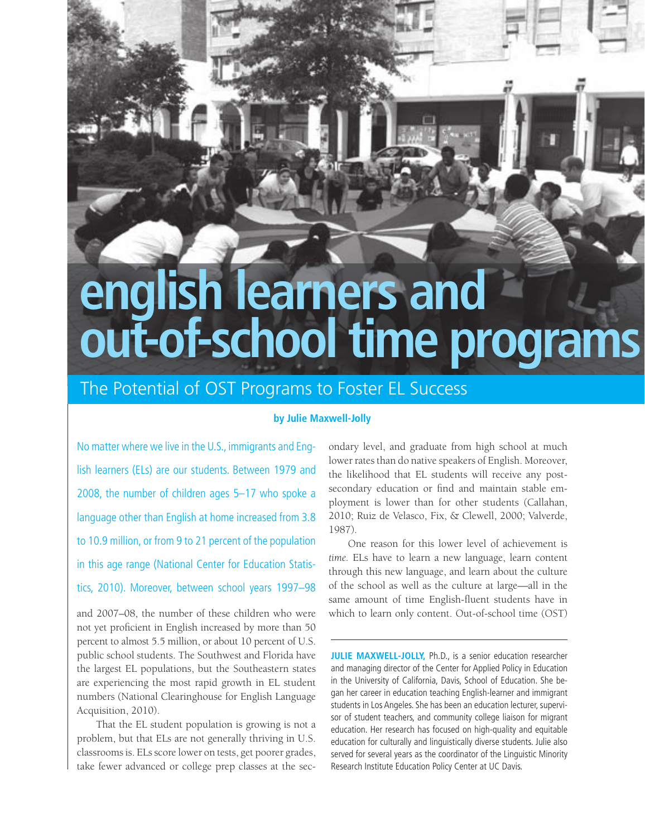# english learners and<br>out-of-school time programs

# The Potential of OST Programs to Foster EL Success

# **by Julie Maxwell-Jolly**

No matter where we live in the U.S., immigrants and English learners (ELs) are our students. Between 1979 and 2008, the number of children ages 5–17 who spoke a language other than English at home increased from 3.8 to 10.9 million, or from 9 to 21 percent of the population in this age range (National Center for Education Statistics, 2010). Moreover, between school years 1997–98

and 2007–08, the number of these children who were not yet proficient in English increased by more than 50 percent to almost 5.5 million, or about 10 percent of U.S. public school students. The Southwest and Florida have the largest EL populations, but the Southeastern states are experiencing the most rapid growth in EL student numbers (National Clearinghouse for English Language Acquisition, 2010).

That the EL student population is growing is not a problem, but that ELs are not generally thriving in U.S. classrooms is. ELs score lower on tests, get poorer grades, take fewer advanced or college prep classes at the secondary level, and graduate from high school at much lower rates than do native speakers of English. Moreover, the likelihood that EL students will receive any postsecondary education or find and maintain stable employment is lower than for other students (Callahan, 2010; Ruiz de Velasco, Fix, & Clewell, 2000; Valverde, 1987).

One reason for this lower level of achievement is *time.* ELs have to learn a new language, learn content through this new language, and learn about the culture of the school as well as the culture at large—all in the same amount of time English-fluent students have in which to learn only content. Out-of-school time (OST)

**JULIE MAXWELL-JOLLY,** Ph.D., is a senior education researcher and managing director of the Center for Applied Policy in Education in the University of California, Davis, School of Education. She began her career in education teaching English-learner and immigrant students in Los Angeles. She has been an education lecturer, supervisor of student teachers, and community college liaison for migrant education. Her research has focused on high-quality and equitable education for culturally and linguistically diverse students. Julie also served for several years as the coordinator of the Linguistic Minority Research Institute Education Policy Center at UC Davis.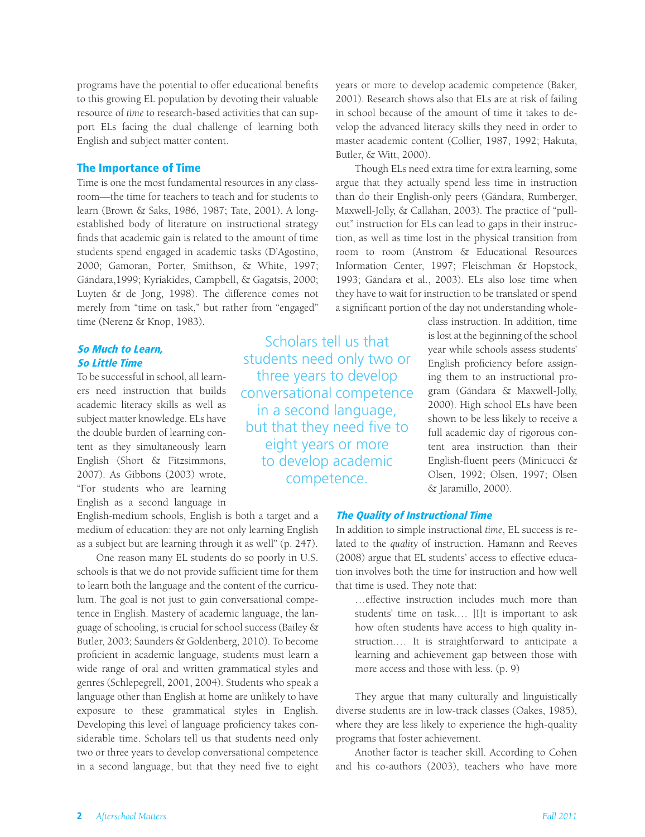programs have the potential to offer educational benefits to this growing EL population by devoting their valuable resource of *time* to research-based activities that can support ELs facing the dual challenge of learning both English and subject matter content.

### The Importance of Time

Time is one the most fundamental resources in any classroom—the time for teachers to teach and for students to learn (Brown & Saks, 1986, 1987; Tate, 2001). A longestablished body of literature on instructional strategy finds that academic gain is related to the amount of time students spend engaged in academic tasks (D'Agostino, 2000; Gamoran, Porter, Smithson, & White, 1997; Gándara,1999; Kyriakides, Campbell, & Gagatsis, 2000; Luyten & de Jong, 1998). The difference comes not merely from "time on task," but rather from "engaged" time (Nerenz & Knop, 1983).

the double burden of learning con-<br>tent as they simultaneously learn eight years or more full academic day of rigorous con-<br>tent area instruction than their 2007). As Gibbons (2003) wrote, **COMPETENCE**.<br>"For students who are learning English as a second language in

English-medium schools, English is both a target and a medium of education: they are not only learning English as a subject but are learning through it as well" (p. 247).

One reason many EL students do so poorly in U.S. schools is that we do not provide sufficient time for them to learn both the language and the content of the curriculum. The goal is not just to gain conversational competence in English. Mastery of academic language, the language of schooling, is crucial for school success (Bailey & Butler, 2003; Saunders & Goldenberg, 2010). To become proficient in academic language, students must learn a wide range of oral and written grammatical styles and genres (Schlepegrell, 2001, 2004). Students who speak a language other than English at home are unlikely to have exposure to these grammatical styles in English. Developing this level of language proficiency takes considerable time. Scholars tell us that students need only two or three years to develop conversational competence in a second language, but that they need five to eight

tion, as well as time lost in the physical transition from room to room (Anstrom & Educational Resources Information Center, 1997; Fleischman & Hopstock, 1993; Gándara et al., 2003). ELs also lose time when they have to wait for instruction to be translated or spend a significant portion of the day not understanding wholeclass instruction. In addition, time **Scholars tell us that** is lost at the beginning of the school Scholars tell us that is lost at the beginning of the school search of the school search of the school search of the schools assess students' So Little Time<br>
So Little Time<br>
So Little Time<br>
So Little Time To be successful in school, all learn-<br>  $\frac{1}{2}$  three years to develop ing them to an instructional proers need instruction that builds conversational competence gram (Gándara & Maxwell-Jolly, academic literacy skills as well as  $\frac{1}{2000}$  in a second language, shown to be less likely to receive a subject matter knowledge

Butler, & Witt, 2000).

tent as they simultaneously learn eight years or more tent area instruction than their English (Short & Fitzsimmons, to develop academic English-fluent peers (Minicucci & 2007). As Gibbons (2003) wrote, compatence Olsen, 1992; Olsen, 1997; Olsen

years or more to develop academic competence (Baker, 2001). Research shows also that ELs are at risk of failing in school because of the amount of time it takes to develop the advanced literacy skills they need in order to master academic content (Collier, 1987, 1992; Hakuta,

Though ELs need extra time for extra learning, some argue that they actually spend less time in instruction than do their English-only peers (Gándara, Rumberger, Maxwell-Jolly, & Callahan, 2003). The practice of "pullout" instruction for ELs can lead to gaps in their instruc-

# The Quality of Instructional Time

In addition to simple instructional *time*, EL success is related to the *quality* of instruction. Hamann and Reeves (2008) argue that EL students' access to effective education involves both the time for instruction and how well that time is used. They note that:

& Jaramillo, 2000).

…effective instruction includes much more than students' time on task.… [I]t is important to ask how often students have access to high quality instruction.… It is straightforward to anticipate a learning and achievement gap between those with more access and those with less. (p. 9)

They argue that many culturally and linguistically diverse students are in low-track classes (Oakes, 1985), where they are less likely to experience the high-quality programs that foster achievement.

Another factor is teacher skill. According to Cohen and his co-authors (2003), teachers who have more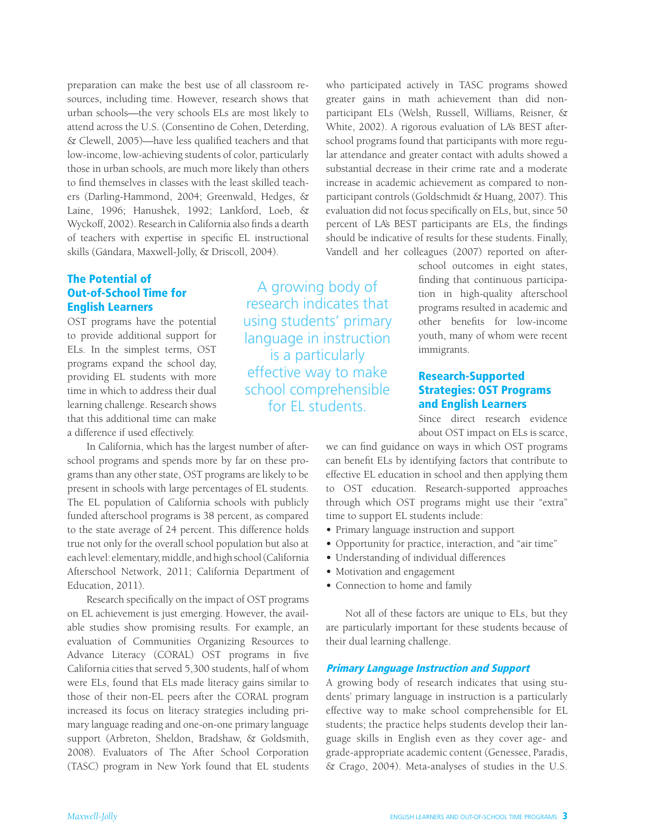preparation can make the best use of all classroom resources, including time. However, research shows that urban schools—the very schools ELs are most likely to attend across the U.S. (Consentino de Cohen, Deterding, & Clewell, 2005)—have less qualified teachers and that low-income, low-achieving students of color, particularly those in urban schools, are much more likely than others to find themselves in classes with the least skilled teachers (Darling-Hammond, 2004; Greenwald, Hedges, & Laine, 1996; Hanushek, 1992; Lankford, Loeb, & Wyckoff, 2002). Research in California also finds a dearth of teachers with expertise in specific EL instructional skills (Gándara, Maxwell-Jolly, & Driscoll, 2004).

# The Potential of

that this additional time can make a difference if used effectively.

In California, which has the largest number of afterschool programs and spends more by far on these programs than any other state, OST programs are likely to be present in schools with large percentages of EL students. The EL population of California schools with publicly funded afterschool programs is 38 percent, as compared to the state average of 24 percent. This difference holds true not only for the overall school population but also at each level: elementary, middle, and high school (California Afterschool Network, 2011; California Department of Education, 2011).

Research specifically on the impact of OST programs on EL achievement is just emerging. However, the available studies show promising results. For example, an evaluation of Communities Organizing Resources to Advance Literacy (CORAL) OST programs in five California cities that served 5,300 students, half of whom were ELs, found that ELs made literacy gains similar to those of their non-EL peers after the CORAL program increased its focus on literacy strategies including primary language reading and one-on-one primary language support (Arbreton, Sheldon, Bradshaw, & Goldsmith, 2008). Evaluators of The After School Corporation (TASC) program in New York found that EL students

English Learners research indicates that programs resulted in academic and OST programs have the potential using students' primary other benefits for low-income to provide additional support for language in instruction youth, many of whom were recent ELs. In the simplest terms, OST is a particularly immigrants. immigrants. programs expand the school day,<br>providing EL students with more effective way to make **Research-Supported** time in which to address their dual school comprehensible **Strategies: OST Programs** learning challenge. Research shows **and English Learners** for EL students. **and English Learners** 

who participated actively in TASC programs showed greater gains in math achievement than did nonparticipant ELs (Welsh, Russell, Williams, Reisner, & White, 2002). A rigorous evaluation of LA's BEST afterschool programs found that participants with more regular attendance and greater contact with adults showed a substantial decrease in their crime rate and a moderate increase in academic achievement as compared to nonparticipant controls (Goldschmidt & Huang, 2007). This evaluation did not focus specifically on ELs, but, since 50 percent of LA's BEST participants are ELs, the findings should be indicative of results for these students. Finally, Vandell and her colleagues (2007) reported on after-

school outcomes in eight states, **The Potential of**<br> **Out-of-School Time for** A growing body of  $\frac{f_{\text{inding that continuous participa-}}}{f_{\text{inding that un-in-high-quality afterschool}}}$ 

Since direct research evidence about OST impact on ELs is scarce,

we can find guidance on ways in which OST programs can benefit ELs by identifying factors that contribute to effective EL education in school and then applying them to OST education. Research-supported approaches through which OST programs might use their "extra" time to support EL students include:

- **•**  Primary language instruction and support
- **•** Opportunity for practice, interaction, and "air time"
- **•** Understanding of individual differences
- **•** Motivation and engagement
- **•** Connection to home and family

Not all of these factors are unique to ELs, but they are particularly important for these students because of their dual learning challenge.

### Primary Language Instruction and Support

A growing body of research indicates that using students' primary language in instruction is a particularly effective way to make school comprehensible for EL students; the practice helps students develop their language skills in English even as they cover age- and grade-appropriate academic content (Genessee, Paradis, & Crago, 2004). Meta-analyses of studies in the U.S.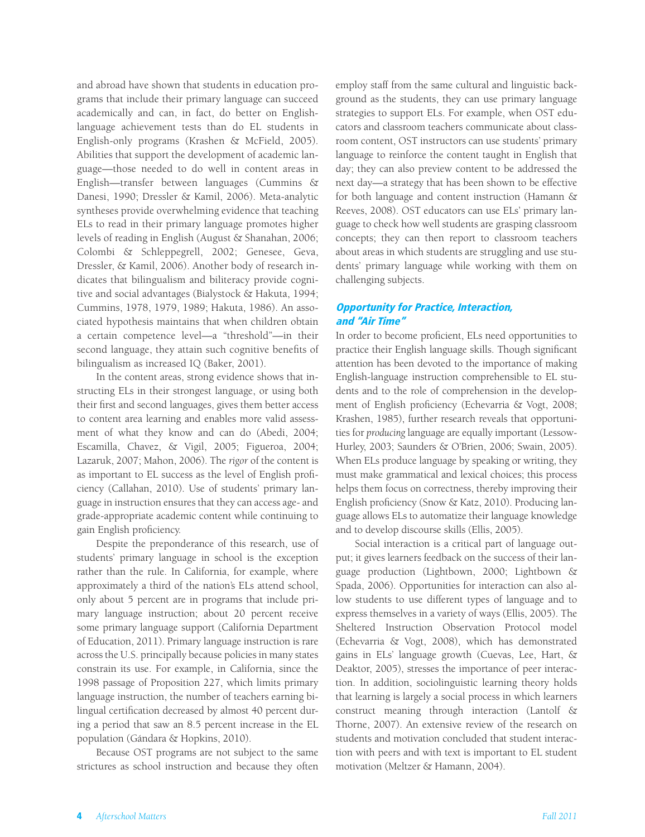and abroad have shown that students in education programs that include their primary language can succeed academically and can, in fact, do better on Englishlanguage achievement tests than do EL students in English-only programs (Krashen & McField, 2005). Abilities that support the development of academic language—those needed to do well in content areas in English—transfer between languages (Cummins & Danesi, 1990; Dressler & Kamil, 2006). Meta-analytic syntheses provide overwhelming evidence that teaching ELs to read in their primary language promotes higher levels of reading in English (August & Shanahan, 2006; Colombi & Schleppegrell, 2002; Genesee, Geva, Dressler, & Kamil, 2006). Another body of research indicates that bilingualism and biliteracy provide cognitive and social advantages (Bialystock & Hakuta, 1994; Cummins, 1978, 1979, 1989; Hakuta, 1986). An associated hypothesis maintains that when children obtain a certain competence level—a "threshold"—in their second language, they attain such cognitive benefits of bilingualism as increased IQ (Baker, 2001).

In the content areas, strong evidence shows that instructing ELs in their strongest language, or using both their first and second languages, gives them better access to content area learning and enables more valid assessment of what they know and can do (Abedi, 2004; Escamilla, Chavez, & Vigil, 2005; Figueroa, 2004; Lazaruk, 2007; Mahon, 2006). The *rigor* of the content is as important to EL success as the level of English proficiency (Callahan, 2010). Use of students' primary language in instruction ensures that they can access age- and grade-appropriate academic content while continuing to gain English proficiency.

Despite the preponderance of this research, use of students' primary language in school is the exception rather than the rule. In California, for example, where approximately a third of the nation's ELs attend school, only about 5 percent are in programs that include primary language instruction; about 20 percent receive some primary language support (California Department of Education, 2011). Primary language instruction is rare across the U.S. principally because policies in many states constrain its use. For example, in California, since the 1998 passage of Proposition 227, which limits primary language instruction, the number of teachers earning bilingual certification decreased by almost 40 percent during a period that saw an 8.5 percent increase in the EL population (Gándara & Hopkins, 2010).

Because OST programs are not subject to the same strictures as school instruction and because they often

employ staff from the same cultural and linguistic background as the students, they can use primary language strategies to support ELs. For example, when OST educators and classroom teachers communicate about classroom content, OST instructors can use students' primary language to reinforce the content taught in English that day; they can also preview content to be addressed the next day—a strategy that has been shown to be effective for both language and content instruction (Hamann & Reeves, 2008). OST educators can use ELs' primary language to check how well students are grasping classroom concepts; they can then report to classroom teachers about areas in which students are struggling and use students' primary language while working with them on challenging subjects.

### Opportunity for Practice, Interaction, and "Air Time"

In order to become proficient, ELs need opportunities to practice their English language skills. Though significant attention has been devoted to the importance of making English-language instruction comprehensible to EL students and to the role of comprehension in the development of English proficiency (Echevarria & Vogt, 2008; Krashen, 1985), further research reveals that opportunities for *producing* language are equally important (Lessow-Hurley, 2003; Saunders & O'Brien, 2006; Swain, 2005). When ELs produce language by speaking or writing, they must make grammatical and lexical choices; this process helps them focus on correctness, thereby improving their English proficiency (Snow & Katz, 2010). Producing language allows ELs to automatize their language knowledge and to develop discourse skills (Ellis, 2005).

Social interaction is a critical part of language output; it gives learners feedback on the success of their language production (Lightbown, 2000; Lightbown & Spada, 2006). Opportunities for interaction can also allow students to use different types of language and to express themselves in a variety of ways (Ellis, 2005). The Sheltered Instruction Observation Protocol model (Echevarria & Vogt, 2008), which has demonstrated gains in ELs' language growth (Cuevas, Lee, Hart, & Deaktor, 2005), stresses the importance of peer interaction. In addition, sociolinguistic learning theory holds that learning is largely a social process in which learners construct meaning through interaction (Lantolf & Thorne, 2007). An extensive review of the research on students and motivation concluded that student interaction with peers and with text is important to EL student motivation (Meltzer & Hamann, 2004).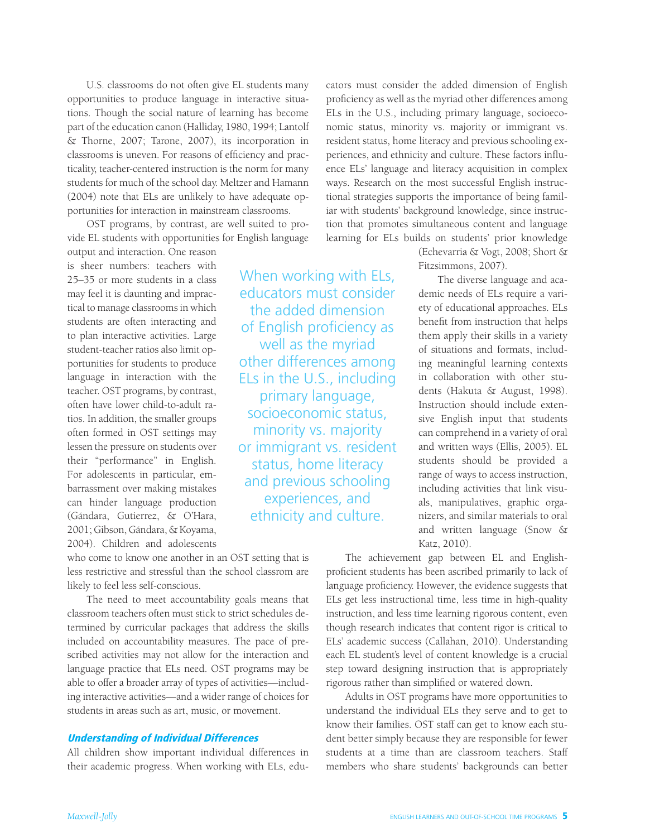opportunities to produce language in interactive situa- proficiency as well as the myriad other differences among tions. Though the social nature of learning has become ELs in the U.S., including primary language, socioecopart of the education canon (Halliday, 1980, 1994; Lantolf nomic status, minority vs. majority or immigrant vs. & Thorne, 2007; Tarone, 2007), its incorporation in resident status, home literacy and previous schooling exclassrooms is uneven. For reasons of efficiency and prac- periences, and ethnicity and culture. These factors influticality, teacher-centered instruction is the norm for many ence ELs' language and literacy acquisition in complex students for much of the school day. Meltzer and Hamann ways. Research on the most successful English instruc (2004) note that ELs are unlikely to have adequate op- tional strategies supports the importance of being familportunities for interaction in mainstream classrooms. iar with students' background knowledge, since instruc-

vide EL students with opportunities for English language learning for ELs builds on students' prior knowledge

is sheer numbers: teachers with Fitzsimmons, 2007). 25–35 or more students in a class When working with ELS, The diverse language and aca-2001; Gibson, Gándara, & Koyama, and written language (Snow & 2004). Children and adolescents Katz, 2010).

may feel it is daunting and imprac-<br>
educators must consider demic needs of ELs require a varitical to manage classrooms in which the added dimension the version of educational approaches. ELs students are often interacting and of English profision cy as benefit from instruction that helps students are often interacting and of English proficiency as them apply their skills in a variety<br>to plan interactive activities. Large well as the myriad structure of situations and formats includent-teacher ratios also l student-teacher ratios also limit op- WEII dS LITE HTYHING of situations and formats, includportunities for students to produce **other differences among** ing meaningful learning contexts language in interaction with the ELS in the U.S., including in collaboration with other stu-<br>teacher. OST programs, by contrast, reprimented and programs of the stu-<br>dents (Hakuta & August, 1998). teacher. OST programs, by contrast,<br>
often have lower child-to-adult ra-<br>
socioeconomic status,<br>
socioeconomic status,<br>
socioeconomic status,<br>
sive English input that students tios. In addition, the smaller groups **SOCIOECOTIOTITIC STATES** sive English input that students often formed in OST settings may **minority vs. majority** can comprehend in a variety of oral lessen the pressure on students over **or immigrant vs. resident** and written ways (Ellis, 2005). EL<br>their "performance" in English. etatus home literary students should be provided a their "performance" in English. Status, home literacy students should be provided a<br>For adolescents in particular, em-<br>barrassment over making mistakes and previous schooling including activities that link visu-<br>can hinder can hinder language production experiences, and als, manipulatives, graphic orga-(Gándara, Gutierrez, & O'Hara, ethnicity and culture. nizers, and similar materials to oral

classroom teachers often must stick to strict schedules de- instruction, and less time learning rigorous content, even termined by curricular packages that address the skills though research indicates that content rigor is critical to included on accountability measures. The pace of pre- ELs' academic success (Callahan, 2010). Understanding scribed activities may not allow for the interaction and each EL student's level of content knowledge is a crucial language practice that ELs need. OST programs may be step toward designing instruction that is appropriately able to offer a broader array of types of activities—includ- rigorous rather than simplified or watered down. ing interactive activities—and a wider range of choices for Adults in OST programs have more opportunities to students in areas such as art, music, or movement. understand the individual ELs they serve and to get to

U.S. classrooms do not often give EL students many cators must consider the added dimension of English OST programs, by contrast, are well suited to pro- tion that promotes simultaneous content and language

output and interaction. One reason (Echevarria & Vogt, 2008; Short &

who come to know one another in an OST setting that is The achievement gap between EL and Englishless restrictive and stressful than the school classrom are proficient students has been ascribed primarily to lack of likely to feel less self-conscious. language proficiency. However, the evidence suggests that The need to meet accountability goals means that ELs get less instructional time, less time in high-quality

know their families. OST staff can get to know each stu-**Understanding of Individual Differences** dent better simply because they are responsible for fewer All children show important individual differences in students at a time than are classroom teachers. Staff their academic progress. When working with ELs, edu- members who share students' backgrounds can better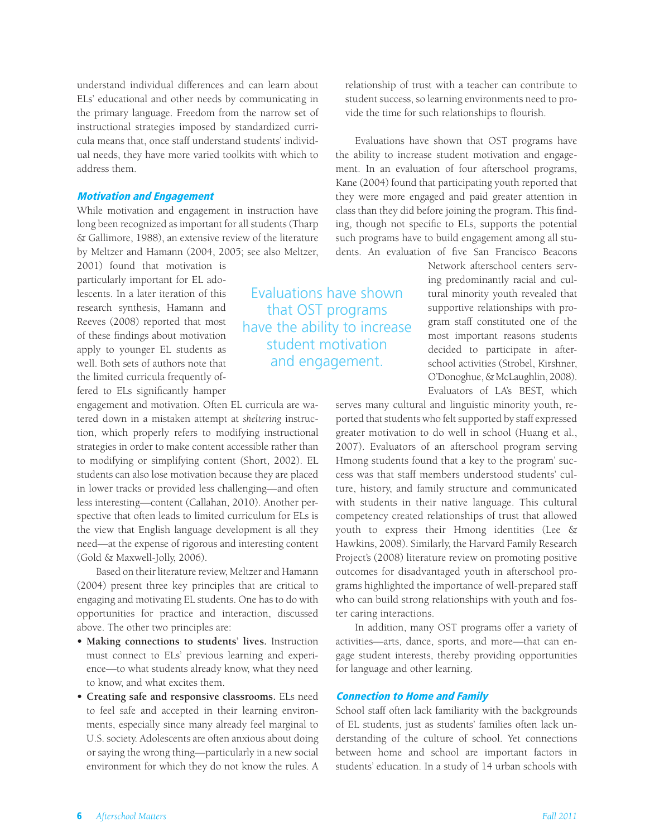understand individual differences and can learn about ELs' educational and other needs by communicating in the primary language. Freedom from the narrow set of instructional strategies imposed by standardized curricula means that, once staff understand students' individual needs, they have more varied toolkits with which to address them.

## Motivation and Engagement

While motivation and engagement in instruction have long been recognized as important for all students (Tharp & Gallimore, 1988), an extensive review of the literature by Meltzer and Hamann (2004, 2005; see also Meltzer,

2001) found that motivation is particularly important for EL adolescents. In a later iteration of this Evaluations have shown tural minority youth revealed that research synthesis, Hamann and that OST programs supportive relationships with pro-<br>Reeves (2008) reported that most have the ability to increase findings about motivation of the strain teasons students apply to younger EL students as student motivation decided to participate in afterwell. Both sets of authors note that and engagement. school activities (Strobel, Kirshner, the limited curricula frequently offered to ELs significantly hamper

engagement and motivation. Often EL curricula are watered down in a mistaken attempt at *sheltering* instruction, which properly refers to modifying instructional strategies in order to make content accessible rather than to modifying or simplifying content (Short, 2002). EL students can also lose motivation because they are placed in lower tracks or provided less challenging—and often less interesting—content (Callahan, 2010). Another perspective that often leads to limited curriculum for ELs is the view that English language development is all they need—at the expense of rigorous and interesting content (Gold & Maxwell-Jolly, 2006).

Based on their literature review, Meltzer and Hamann (2004) present three key principles that are critical to engaging and motivating EL students. One has to do with opportunities for practice and interaction, discussed above. The other two principles are:

- Making connections to students' lives. Instruction must connect to ELs' previous learning and experience—to what students already know, what they need to know, and what excites them.
- **• Creating safe and responsive classrooms.** ELs need to feel safe and accepted in their learning environments, especially since many already feel marginal to U.S. society. Adolescents are often anxious about doing or saying the wrong thing—particularly in a new social environment for which they do not know the rules. A

relationship of trust with a teacher can contribute to student success, so learning environments need to provide the time for such relationships to flourish.

Evaluations have shown that OST programs have the ability to increase student motivation and engagement. In an evaluation of four afterschool programs, Kane (2004) found that participating youth reported that they were more engaged and paid greater attention in class than they did before joining the program. This finding, though not specific to ELs, supports the potential such programs have to build engagement among all students. An evaluation of five San Francisco Beacons

> Network afterschool centers serving predominantly racial and cul-O'Donoghue, & McLaughlin, 2008). Evaluators of LA's BEST, which

serves many cultural and linguistic minority youth, reported that students who felt supported by staff expressed greater motivation to do well in school (Huang et al., 2007). Evaluators of an afterschool program serving Hmong students found that a key to the program' success was that staff members understood students' culture, history, and family structure and communicated with students in their native language. This cultural competency created relationships of trust that allowed youth to express their Hmong identities (Lee & Hawkins, 2008). Similarly, the Harvard Family Research Project's (2008) literature review on promoting positive outcomes for disadvantaged youth in afterschool programs highlighted the importance of well-prepared staff who can build strong relationships with youth and foster caring interactions.

In addition, many OST programs offer a variety of activities—arts, dance, sports, and more—that can engage student interests, thereby providing opportunities for language and other learning.

### Connection to Home and Family

School staff often lack familiarity with the backgrounds of EL students, just as students' families often lack understanding of the culture of school. Yet connections between home and school are important factors in students' education. In a study of 14 urban schools with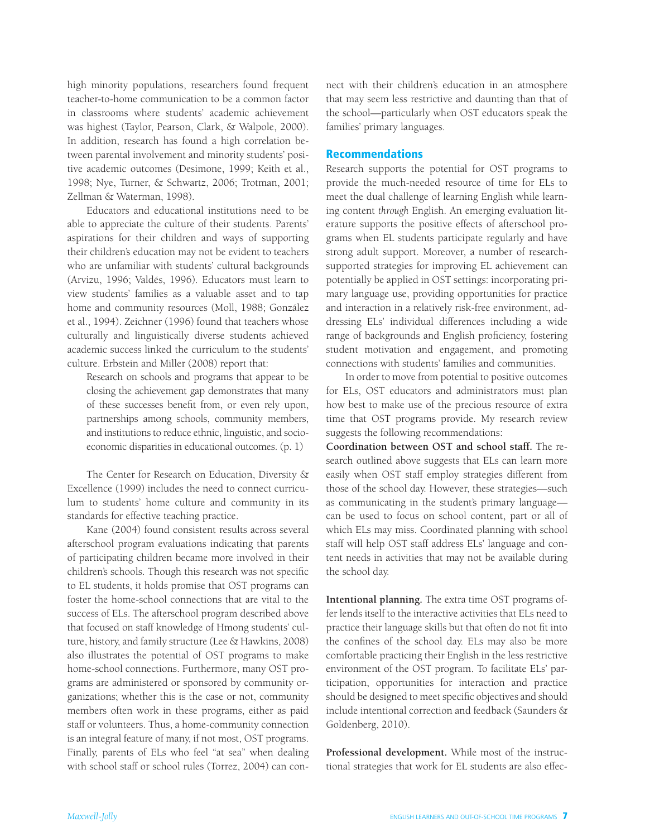high minority populations, researchers found frequent teacher-to-home communication to be a common factor in classrooms where students' academic achievement was highest (Taylor, Pearson, Clark, & Walpole, 2000). In addition, research has found a high correlation between parental involvement and minority students' positive academic outcomes (Desimone, 1999; Keith et al., 1998; Nye, Turner, & Schwartz, 2006; Trotman, 2001; Zellman & Waterman, 1998).

Educators and educational institutions need to be able to appreciate the culture of their students. Parents' aspirations for their children and ways of supporting their children's education may not be evident to teachers who are unfamiliar with students' cultural backgrounds (Arvizu, 1996; Valdés, 1996). Educators must learn to view students' families as a valuable asset and to tap home and community resources (Moll, 1988; González et al., 1994). Zeichner (1996) found that teachers whose culturally and linguistically diverse students achieved academic success linked the curriculum to the students' culture. Erbstein and Miller (2008) report that:

Research on schools and programs that appear to be closing the achievement gap demonstrates that many of these successes benefit from, or even rely upon, partnerships among schools, community members, and institutions to reduce ethnic, linguistic, and socioeconomic disparities in educational outcomes. (p. 1)

The Center for Research on Education, Diversity & Excellence (1999) includes the need to connect curriculum to students' home culture and community in its standards for effective teaching practice.

Kane (2004) found consistent results across several afterschool program evaluations indicating that parents of participating children became more involved in their children's schools. Though this research was not specific to EL students, it holds promise that OST programs can foster the home-school connections that are vital to the success of ELs. The afterschool program described above that focused on staff knowledge of Hmong students' culture, history, and family structure (Lee & Hawkins, 2008) also illustrates the potential of OST programs to make home-school connections. Furthermore, many OST programs are administered or sponsored by community organizations; whether this is the case or not, community members often work in these programs, either as paid staff or volunteers. Thus, a home-community connection is an integral feature of many, if not most, OST programs. Finally, parents of ELs who feel "at sea" when dealing with school staff or school rules (Torrez, 2004) can connect with their children's education in an atmosphere that may seem less restrictive and daunting than that of the school—particularly when OST educators speak the families' primary languages.

### Recommendations

Research supports the potential for OST programs to provide the much-needed resource of time for ELs to meet the dual challenge of learning English while learning content *through* English. An emerging evaluation literature supports the positive effects of afterschool programs when EL students participate regularly and have strong adult support. Moreover, a number of researchsupported strategies for improving EL achievement can potentially be applied in OST settings: incorporating primary language use, providing opportunities for practice and interaction in a relatively risk-free environment, addressing ELs' individual differences including a wide range of backgrounds and English proficiency, fostering student motivation and engagement, and promoting connections with students' families and communities.

In order to move from potential to positive outcomes for ELs, OST educators and administrators must plan how best to make use of the precious resource of extra time that OST programs provide. My research review suggests the following recommendations:

**Coordination between OST and school staff.** The research outlined above suggests that ELs can learn more easily when OST staff employ strategies different from those of the school day. However, these strategies—such as communicating in the student's primary language can be used to focus on school content, part or all of which ELs may miss. Coordinated planning with school staff will help OST staff address ELs' language and content needs in activities that may not be available during the school day.

**Intentional planning.** The extra time OST programs offer lends itself to the interactive activities that ELs need to practice their language skills but that often do not fit into the confines of the school day. ELs may also be more comfortable practicing their English in the less restrictive environment of the OST program. To facilitate ELs' participation, opportunities for interaction and practice should be designed to meet specific objectives and should include intentional correction and feedback (Saunders & Goldenberg, 2010).

Professional development. While most of the instructional strategies that work for EL students are also effec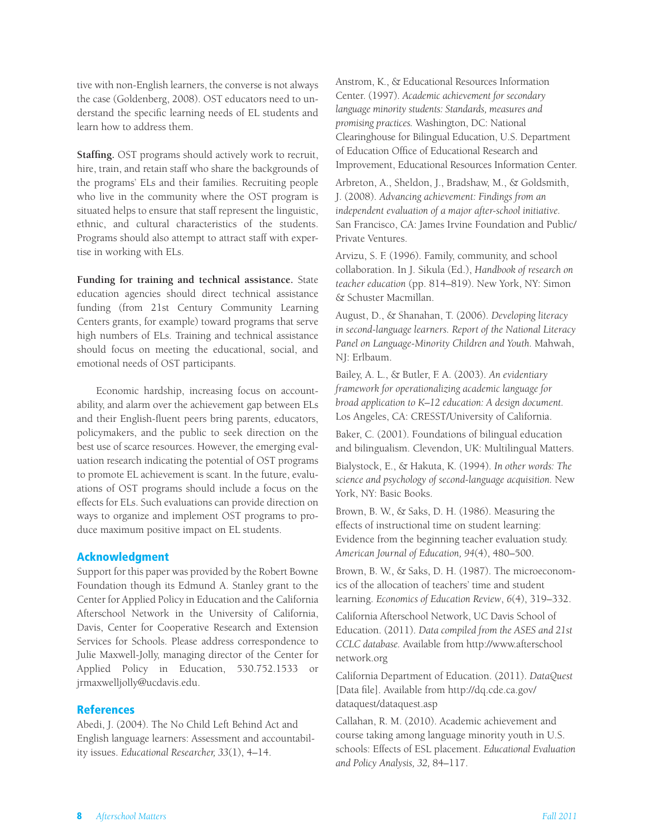tive with non-English learners, the converse is not always the case (Goldenberg, 2008). OST educators need to understand the specific learning needs of EL students and learn how to address them.

**Staffing.** OST programs should actively work to recruit, hire, train, and retain staff who share the backgrounds of the programs' ELs and their families. Recruiting people who live in the community where the OST program is situated helps to ensure that staff represent the linguistic, ethnic, and cultural characteristics of the students. Programs should also attempt to attract staff with expertise in working with ELs.

Funding for training and technical assistance. State education agencies should direct technical assistance funding (from 21st Century Community Learning Centers grants, for example) toward programs that serve high numbers of ELs. Training and technical assistance should focus on meeting the educational, social, and emotional needs of OST participants.

Economic hardship, increasing focus on accountability, and alarm over the achievement gap between ELs and their English-fluent peers bring parents, educators, policymakers, and the public to seek direction on the best use of scarce resources. However, the emerging evaluation research indicating the potential of OST programs to promote EL achievement is scant. In the future, evaluations of OST programs should include a focus on the effects for ELs. Such evaluations can provide direction on ways to organize and implement OST programs to produce maximum positive impact on EL students.

### Acknowledgment

Support for this paper was provided by the Robert Bowne Foundation though its Edmund A. Stanley grant to the Center for Applied Policy in Education and the California Afterschool Network in the University of California, Davis, Center for Cooperative Research and Extension Services for Schools. Please address correspondence to Julie Maxwell-Jolly, managing director of the Center for Applied Policy in Education, 530.752.1533 or jrmaxwelljolly@ucdavis.edu.

### References

Abedi, J. (2004). The No Child Left Behind Act and English language learners: Assessment and accountability issues. *Educational Researcher, 33*(1), 4–14.

Anstrom, K., & Educational Resources Information Center. (1997). *Academic achievement for secondary language minority students: Standards, measures and promising practices.* Washington, DC: National Clearinghouse for Bilingual Education, U.S. Department of Education Office of Educational Research and Improvement, Educational Resources Information Center.

Arbreton, A., Sheldon, J., Bradshaw, M., & Goldsmith, J. (2008). *Advancing achievement: Findings from an independent evaluation of a major after-school initiative.*  San Francisco, CA: James Irvine Foundation and Public/ Private Ventures.

Arvizu, S. F. (1996). Family, community, and school collaboration. In J. Sikula (Ed.), *Handbook of research on teacher education* (pp. 814–819). New York, NY: Simon & Schuster Macmillan.

August, D., & Shanahan, T. (2006). *Developing literacy in second-language learners. Report of the National Literacy Panel on Language-Minority Children and Youth.* Mahwah, NJ: Erlbaum.

Bailey, A. L., & Butler, F. A. (2003). *An evidentiary framework for operationalizing academic language for broad application to K–12 education: A design document.*  Los Angeles, CA: CRESST/University of California.

Baker, C. (2001). Foundations of bilingual education and bilingualism. Clevendon, UK: Multilingual Matters.

Bialystock, E., & Hakuta, K. (1994). *In other words: The science and psychology of second-language acquisition.* New York, NY: Basic Books.

Brown, B. W., & Saks, D. H. (1986). Measuring the effects of instructional time on student learning: Evidence from the beginning teacher evaluation study. *American Journal of Education, 94*(4), 480–500.

Brown, B. W., & Saks, D. H. (1987). The microeconomics of the allocation of teachers' time and student learning. *Economics of Education Review*, *6*(4), 319–332.

California Afterschool Network, UC Davis School of Education. (2011). *Data compiled from the ASES and 21st CCLC database.* Available from http://www.afterschool network.org

California Department of Education. (2011). *DataQuest*  [Data file]. Available from http://dq.cde.ca.gov/ dataquest/dataquest.asp

Callahan, R. M. (2010). Academic achievement and course taking among language minority youth in U.S. schools: Effects of ESL placement. *Educational Evaluation and Policy Analysis, 32,* 84–117.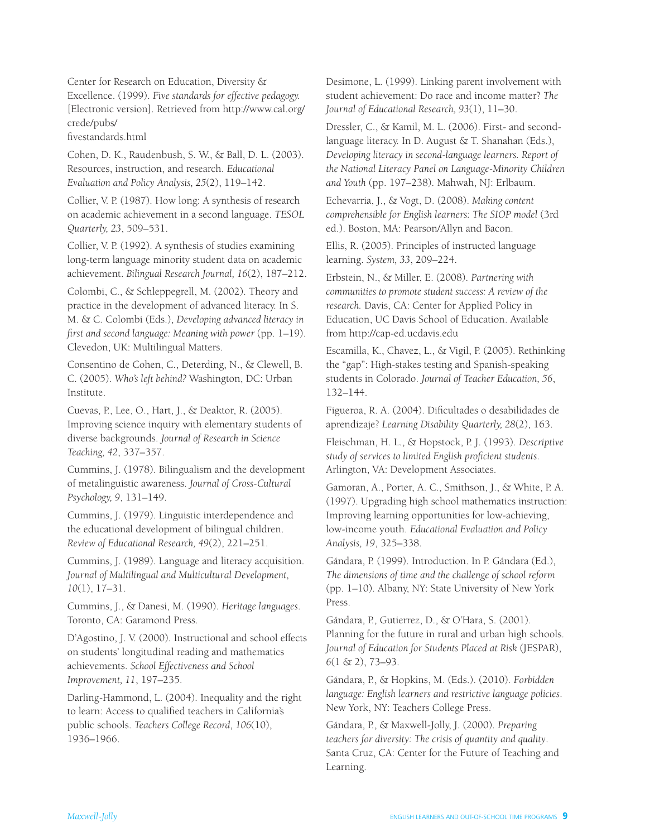Center for Research on Education, Diversity & Excellence. (1999). *Five standards for effective pedagogy.*  [Electronic version]. Retrieved from http://www.cal.org/ crede/pubs/

fivestandards.html

Cohen, D. K., Raudenbush, S. W., & Ball, D. L. (2003). Resources, instruction, and research. *Educational Evaluation and Policy Analysis, 25*(2), 119–142.

Collier, V. P. (1987). How long: A synthesis of research on academic achievement in a second language. *TESOL Quarterly, 23*, 509–531.

Collier, V. P. (1992). A synthesis of studies examining long-term language minority student data on academic achievement. *Bilingual Research Journal, 16*(2), 187–212.

Colombi, C., & Schleppegrell, M. (2002). Theory and practice in the development of advanced literacy. In S. M. & C. Colombi (Eds.), *Developing advanced literacy in first and second language: Meaning with power* (pp. 1–19). Clevedon, UK: Multilingual Matters.

Consentino de Cohen, C., Deterding, N., & Clewell, B. C. (2005). *Who's left behind?* Washington, DC: Urban Institute.

Cuevas, P., Lee, O., Hart, J., & Deaktor, R. (2005). Improving science inquiry with elementary students of diverse backgrounds. *Journal of Research in Science Teaching, 42*, 337–357.

Cummins, J. (1978). Bilingualism and the development of metalinguistic awareness. *Journal of Cross-Cultural Psychology, 9*, 131–149.

Cummins, J. (1979). Linguistic interdependence and the educational development of bilingual children. *Review of Educational Research, 49*(2), 221–251.

Cummins, J. (1989). Language and literacy acquisition. *Journal of Multilingual and Multicultural Development, 10*(1), 17–31.

Cummins, J., & Danesi, M. (1990). *Heritage languages*. Toronto, CA: Garamond Press.

D'Agostino, J. V. (2000). Instructional and school effects on students' longitudinal reading and mathematics achievements. *School Effectiveness and School Improvement, 11*, 197–235.

Darling-Hammond, L. (2004). Inequality and the right to learn: Access to qualified teachers in California's public schools. *Teachers College Record*, *106*(10), 1936–1966.

Desimone, L. (1999). Linking parent involvement with student achievement: Do race and income matter? *The Journal of Educational Research, 93*(1), 11–30.

Dressler, C., & Kamil, M. L. (2006). First- and secondlanguage literacy. In D. August & T. Shanahan (Eds.), *Developing literacy in second-language learners. Report of the National Literacy Panel on Language-Minority Children and Youth* (pp. 197–238). Mahwah, NJ: Erlbaum.

Echevarria, J., & Vogt, D. (2008). *Making content comprehensible for English learners: The SIOP model* (3rd ed.). Boston, MA: Pearson/Allyn and Bacon.

Ellis, R. (2005). Principles of instructed language learning. *System, 33*, 209–224.

Erbstein, N., & Miller, E. (2008). *Partnering with communities to promote student success: A review of the research.* Davis, CA: Center for Applied Policy in Education, UC Davis School of Education. Available from http://cap-ed.ucdavis.edu

Escamilla, K., Chavez, L., & Vigil, P. (2005). Rethinking the "gap": High-stakes testing and Spanish-speaking students in Colorado. *Journal of Teacher Education, 56*, 132–144.

Figueroa, R. A. (2004). Dificultades o desabilidades de aprendizaje? *Learning Disability Quarterly, 28*(2), 163.

Fleischman, H. L., & Hopstock, P. J. (1993). *Descriptive study of services to limited English proficient students*. Arlington, VA: Development Associates.

Gamoran, A., Porter, A. C., Smithson, J., & White, P. A. (1997). Upgrading high school mathematics instruction: Improving learning opportunities for low-achieving, low-income youth. *Educational Evaluation and Policy Analysis, 19*, 325–338.

Gándara, P. (1999). Introduction. In P. Gándara (Ed.), *The dimensions of time and the challenge of school reform*  (pp. 1–10). Albany, NY: State University of New York Press.

Gándara, P., Gutierrez, D., & O'Hara, S. (2001). Planning for the future in rural and urban high schools. *Journal of Education for Students Placed at Risk* (JESPAR), *6*(1 & 2), 73–93.

Gándara, P., & Hopkins, M. (Eds.). (2010). *Forbidden language: English learners and restrictive language policies*. New York, NY: Teachers College Press.

Gándara, P., & Maxwell-Jolly, J. (2000). *Preparing teachers for diversity: The crisis of quantity and quality*. Santa Cruz, CA: Center for the Future of Teaching and Learning.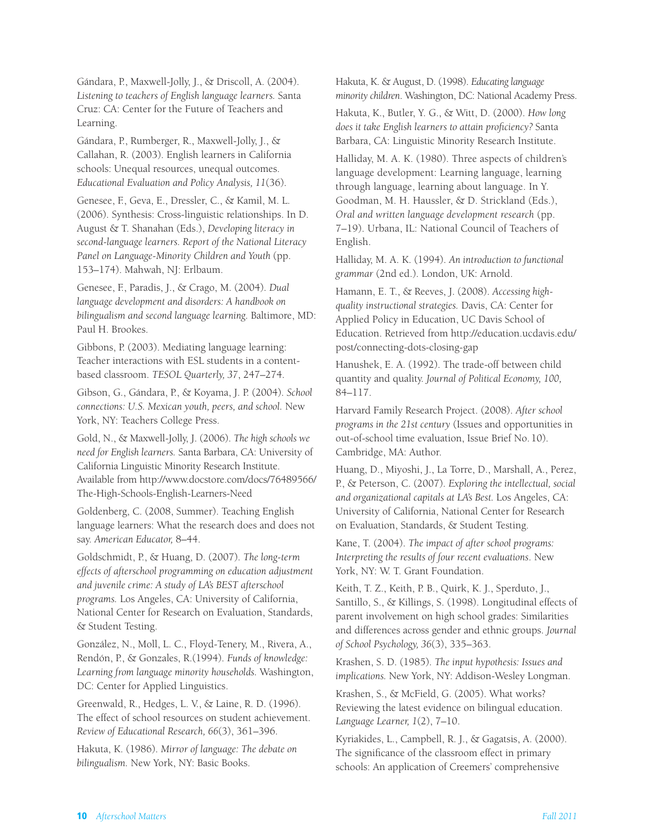Gándara, P., Maxwell-Jolly, J., & Driscoll, A. (2004). *Listening to teachers of English language learners.* Santa Cruz: CA: Center for the Future of Teachers and Learning.

Gándara, P., Rumberger, R., Maxwell-Jolly, J., & Callahan, R. (2003). English learners in California schools: Unequal resources, unequal outcomes. *Educational Evaluation and Policy Analysis, 11*(36).

Genesee, F., Geva, E., Dressler, C., & Kamil, M. L. (2006). Synthesis: Cross-linguistic relationships. In D. August & T. Shanahan (Eds.), *Developing literacy in second-language learners. Report of the National Literacy Panel on Language-Minority Children and Youth* (pp. 153–174). Mahwah, NJ: Erlbaum.

Genesee, F., Paradis, J., & Crago, M. (2004). *Dual language development and disorders: A handbook on bilingualism and second language learning.* Baltimore, MD: Paul H. Brookes.

Gibbons, P. (2003). Mediating language learning: Teacher interactions with ESL students in a contentbased classroom. *TESOL Quarterly, 37*, 247–274.

Gibson, G., Gándara, P., & Koyama, J. P. (2004). *School connections: U.S. Mexican youth, peers, and school.* New York, NY: Teachers College Press.

Gold, N., & Maxwell-Jolly, J. (2006). *The high schools we need for English learners.* Santa Barbara, CA: University of California Linguistic Minority Research Institute. Available from http://www.docstore.com/docs/76489566/ The-High-Schools-English-Learners-Need

Goldenberg, C. (2008, Summer). Teaching English language learners: What the research does and does not say. *American Educator,* 8–44.

Goldschmidt, P., & Huang, D. (2007). *The long-term effects of afterschool programming on education adjustment and juvenile crime: A study of LA's BEST afterschool programs.* Los Angeles, CA: University of California, National Center for Research on Evaluation, Standards, & Student Testing.

González, N., Moll, L. C., Floyd-Tenery, M., Rivera, A., Rendón, P., & Gonzales, R.(1994). *Funds of knowledge: Learning from language minority households.* Washington, DC: Center for Applied Linguistics.

Greenwald, R., Hedges, L. V., & Laine, R. D. (1996). The effect of school resources on student achievement. *Review of Educational Research, 66*(3), 361–396.

Hakuta, K. (1986). *Mirror of language: The debate on bilingualism.* New York, NY: Basic Books.

Hakuta, K. & August, D. (1998). *Educating language minority children*. Washington, DC: National Academy Press.

Hakuta, K., Butler, Y. G., & Witt, D. (2000). *How long does it take English learners to attain proficiency?* Santa Barbara, CA: Linguistic Minority Research Institute.

Halliday, M. A. K. (1980). Three aspects of children's language development: Learning language, learning through language, learning about language. In Y. Goodman, M. H. Haussler, & D. Strickland (Eds.), *Oral and written language development research* (pp. 7–19). Urbana, IL: National Council of Teachers of English.

Halliday, M. A. K. (1994). *An introduction to functional grammar* (2nd ed.). London, UK: Arnold.

Hamann, E. T., & Reeves, J. (2008). *Accessing highquality instructional strategies.* Davis, CA: Center for Applied Policy in Education, UC Davis School of Education. Retrieved from http://education.ucdavis.edu/ post/connecting-dots-closing-gap

Hanushek, E. A. (1992). The trade-off between child quantity and quality. *Journal of Political Economy, 100,*  84–117.

Harvard Family Research Project. (2008). *After school programs in the 21st century* (Issues and opportunities in out-of-school time evaluation, Issue Brief No.10). Cambridge, MA: Author.

Huang, D., Miyoshi, J., La Torre, D., Marshall, A., Perez, P., & Peterson, C. (2007). *Exploring the intellectual, social and organizational capitals at LA's Best.* Los Angeles, CA: University of California, National Center for Research on Evaluation, Standards, & Student Testing.

Kane, T. (2004). *The impact of after school programs: Interpreting the results of four recent evaluations*. New York, NY: W. T. Grant Foundation.

Keith, T. Z., Keith, P. B., Quirk, K. J., Sperduto, J., Santillo, S., & Killings, S. (1998). Longitudinal effects of parent involvement on high school grades: Similarities and differences across gender and ethnic groups. *Journal of School Psychology, 36*(3), 335–363.

Krashen, S. D. (1985). *The input hypothesis: Issues and implications.* New York, NY: Addison-Wesley Longman.

Krashen, S., & McField, G. (2005). What works? Reviewing the latest evidence on bilingual education. *Language Learner, 1*(2), 7–10.

Kyriakides, L., Campbell, R. J., & Gagatsis, A. (2000). The significance of the classroom effect in primary schools: An application of Creemers' comprehensive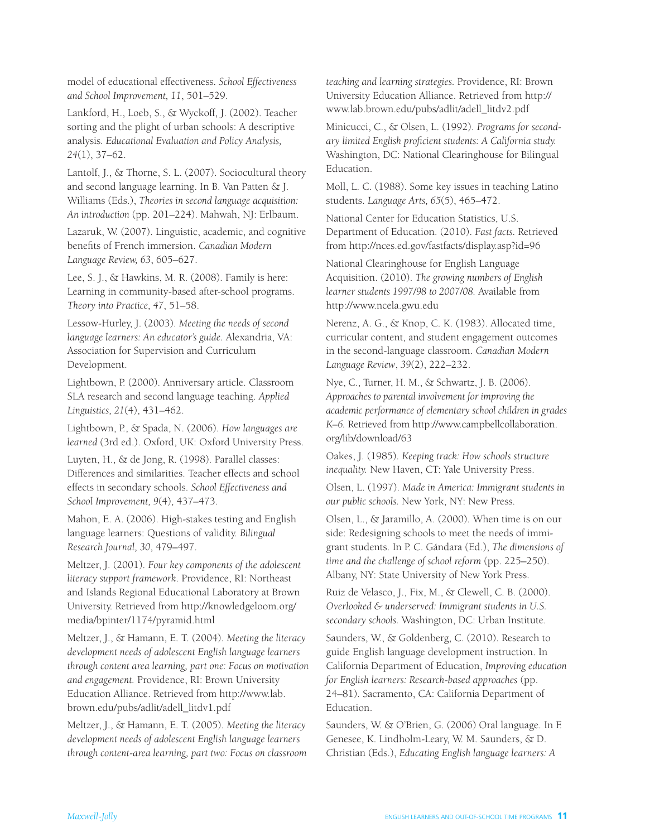model of educational effectiveness. *School Effectiveness and School Improvement, 11*, 501–529.

Lankford, H., Loeb, S., & Wyckoff, J. (2002). Teacher sorting and the plight of urban schools: A descriptive analysis*. Educational Evaluation and Policy Analysis, 24*(1), 37–62.

Lantolf, J., & Thorne, S. L. (2007). Sociocultural theory and second language learning. In B. Van Patten & J. Williams (Eds.), *Theories in second language acquisition: An introduction* (pp. 201–224). Mahwah, NJ: Erlbaum.

Lazaruk, W. (2007). Linguistic, academic, and cognitive benefits of French immersion. *Canadian Modern Language Review, 63*, 605–627.

Lee, S. J., & Hawkins, M. R. (2008). Family is here: Learning in community-based after-school programs. *Theory into Practice, 47*, 51–58.

Lessow-Hurley, J. (2003). *Meeting the needs of second language learners: An educator's guide.* Alexandria, VA: Association for Supervision and Curriculum Development.

Lightbown, P. (2000). Anniversary article. Classroom SLA research and second language teaching. *Applied Linguistics, 21*(4), 431–462.

Lightbown, P., & Spada, N. (2006). *How languages are learned* (3rd ed.). Oxford, UK: Oxford University Press.

Luyten, H., & de Jong, R. (1998). Parallel classes: Differences and similarities. Teacher effects and school effects in secondary schools. *School Effectiveness and School Improvement, 9*(4), 437–473.

Mahon, E. A. (2006). High-stakes testing and English language learners: Questions of validity. *Bilingual Research Journal, 30*, 479–497.

Meltzer, J. (2001). *Four key components of the adolescent literacy support framework*. Providence, RI: Northeast and Islands Regional Educational Laboratory at Brown University. Retrieved from http://knowledgeloom.org/ media/bpinter/1174/pyramid.html

Meltzer, J., & Hamann, E. T. (2004). *Meeting the literacy development needs of adolescent English language learners through content area learning, part one: Focus on motivation and engagement.* Providence, RI: Brown University Education Alliance. Retrieved from http://www.lab. brown.edu/pubs/adlit/adell\_litdv1.pdf

Meltzer, J., & Hamann, E. T. (2005). *Meeting the literacy development needs of adolescent English language learners through content-area learning, part two: Focus on classroom*  *teaching and learning strategies.* Providence, RI: Brown University Education Alliance. Retrieved from http:// www.lab.brown.edu/pubs/adlit/adell\_litdv2.pdf

Minicucci, C., & Olsen, L. (1992). *Programs for secondary limited English proficient students: A California study.*  Washington, DC: National Clearinghouse for Bilingual Education.

Moll, L. C. (1988). Some key issues in teaching Latino students. *Language Arts, 65*(5), 465–472.

National Center for Education Statistics, U.S. Department of Education. (2010). *Fast facts.* Retrieved from http://nces.ed.gov/fastfacts/display.asp?id=96

National Clearinghouse for English Language Acquisition. (2010). *The growing numbers of English learner students 1997/98 to 2007/08.* Available from http://www.ncela.gwu.edu

 Nerenz, A. G., & Knop, C. K. (1983). Allocated time, curricular content, and student engagement outcomes in the second-language classroom. *Canadian Modern Language Review*, *39*(2), 222–232.

Nye, C., Turner, H. M., & Schwartz, J. B. (2006). *Approaches to parental involvement for improving the academic performance of elementary school children in grades K–6.* Retrieved from http://www.campbellcollaboration. org/lib/download/63

Oakes, J. (1985). *Keeping track: How schools structure inequality.* New Haven, CT: Yale University Press.

Olsen, L. (1997). *Made in America: Immigrant students in our public schools.* New York, NY: New Press.

Olsen, L., & Jaramillo, A. (2000). When time is on our side: Redesigning schools to meet the needs of immigrant students. In P. C. Gándara (Ed.), *The dimensions of time and the challenge of school reform* (pp. 225–250). Albany, NY: State University of New York Press.

Ruiz de Velasco, J., Fix, M., & Clewell, C. B. (2000). *Overlooked & underserved: Immigrant students in U.S. secondary schools.* Washington, DC: Urban Institute.

Saunders, W., & Goldenberg, C. (2010). Research to guide English language development instruction. In California Department of Education, *Improving education for English learners: Research-based approaches* (pp. 24–81). Sacramento, CA: California Department of Education.

Saunders, W. & O'Brien, G. (2006) Oral language. In F. Genesee, K. Lindholm-Leary, W. M. Saunders, & D. Christian (Eds.), *Educating English language learners: A*